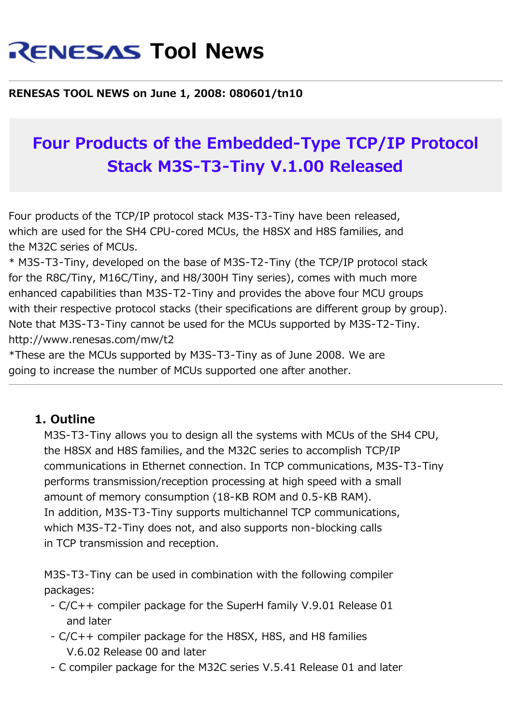# **RENESAS Tool News**

#### **RENESAS TOOL NEWS on June 1, 2008: 080601/tn10**

## **Four Products of the Embedded-Type TCP/IP Protocol Stack M3S-T3-Tiny V.1.00 Released**

Four products of the TCP/IP protocol stack M3S-T3-Tiny have been released, which are used for the SH4 CPU-cored MCUs, the H8SX and H8S families, and the M32C series of MCUs.

\* M3S-T3-Tiny, developed on the base of M3S-T2-Tiny (the TCP/IP protocol stack for the R8C/Tiny, M16C/Tiny, and H8/300H Tiny series), comes with much more enhanced capabilities than M3S-T2-Tiny and provides the above four MCU groups with their respective protocol stacks (their specifications are different group by group). Note that M3S-T3-Tiny cannot be used for the MCUs supported by M3S-T2-Tiny. http://www.renesas.com/mw/t2

\*These are the MCUs supported by M3S-T3-Tiny as of June 2008. We are going to increase the number of MCUs supported one after another.

#### **1. Outline**

 M3S-T3-Tiny allows you to design all the systems with MCUs of the SH4 CPU, the H8SX and H8S families, and the M32C series to accomplish TCP/IP communications in Ethernet connection. In TCP communications, M3S-T3-Tiny performs transmission/reception processing at high speed with a small amount of memory consumption (18-KB ROM and 0.5-KB RAM). In addition, M3S-T3-Tiny supports multichannel TCP communications, which M3S-T2-Tiny does not, and also supports non-blocking calls in TCP transmission and reception.

 M3S-T3-Tiny can be used in combination with the following compiler packages:

- C/C++ compiler package for the SuperH family V.9.01 Release 01 and later
- C/C++ compiler package for the H8SX, H8S, and H8 families V.6.02 Release 00 and later
- C compiler package for the M32C series V.5.41 Release 01 and later